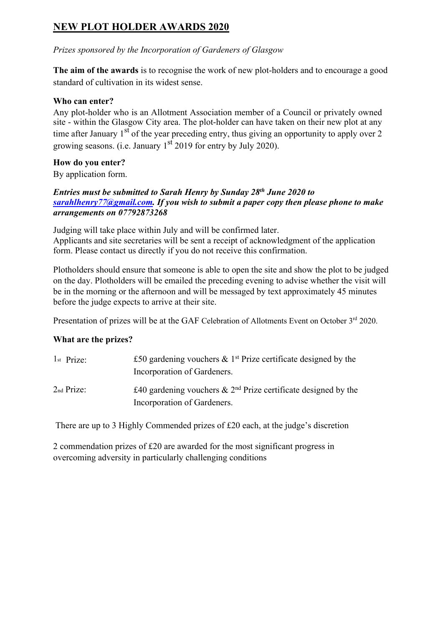### **NEW PLOT HOLDER AWARDS 2020**

*Prizes sponsored by the Incorporation of Gardeners of Glasgow*

**The aim of the awards** is to recognise the work of new plot-holders and to encourage a good standard of cultivation in its widest sense.

### **Who can enter?**

Any plot-holder who is an Allotment Association member of a Council or privately owned site - within the Glasgow City area. The plot-holder can have taken on their new plot at any time after January  $1<sup>st</sup>$  of the year preceding entry, thus giving an opportunity to apply over 2 growing seasons. (i.e. January 1<sup>st</sup> 2019 for entry by July 2020).

### **How do you enter?**

By application form.

#### *Entries must be submitted to Sarah Henry by Sunday 28th June 2020 to sarahlhenry77@gmail.com. If you wish to submit a paper copy then please phone to make arrangements on 07792873268*

Judging will take place within July and will be confirmed later. Applicants and site secretaries will be sent a receipt of acknowledgment of the application form. Please contact us directly if you do not receive this confirmation.

Plotholders should ensure that someone is able to open the site and show the plot to be judged on the day. Plotholders will be emailed the preceding evening to advise whether the visit will be in the morning or the afternoon and will be messaged by text approximately 45 minutes before the judge expects to arrive at their site.

Presentation of prizes will be at the GAF Celebration of Allotments Event on October 3<sup>rd</sup> 2020.

### **What are the prizes?**

| $1st$ Prize:           | £50 gardening vouchers $\&$ 1 <sup>st</sup> Prize certificate designed by the |
|------------------------|-------------------------------------------------------------------------------|
|                        | Incorporation of Gardeners.                                                   |
| 2 <sub>nd</sub> Prize: | £40 gardening vouchers $\&$ 2 <sup>nd</sup> Prize certificate designed by the |
|                        | Incorporation of Gardeners.                                                   |

There are up to 3 Highly Commended prizes of £20 each, at the judge's discretion

2 commendation prizes of £20 are awarded for the most significant progress in overcoming adversity in particularly challenging conditions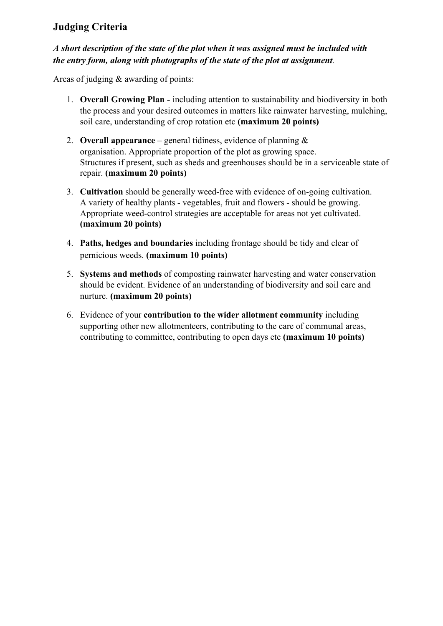### **Judging Criteria**

### *A short description of the state of the plot when it was assigned must be included with the entry form, along with photographs of the state of the plot at assignment.*

Areas of judging & awarding of points:

- 1. **Overall Growing Plan -** including attention to sustainability and biodiversity in both the process and your desired outcomes in matters like rainwater harvesting, mulching, soil care, understanding of crop rotation etc **(maximum 20 points)**
- 2. **Overall appearance** general tidiness, evidence of planning  $\&$ organisation. Appropriate proportion of the plot as growing space. Structures if present, such as sheds and greenhouses should be in a serviceable state of repair. **(maximum 20 points)**
- 3. **Cultivation** should be generally weed-free with evidence of on-going cultivation. A variety of healthy plants - vegetables, fruit and flowers - should be growing. Appropriate weed-control strategies are acceptable for areas not yet cultivated. **(maximum 20 points)**
- 4. **Paths, hedges and boundaries** including frontage should be tidy and clear of pernicious weeds. **(maximum 10 points)**
- 5. **Systems and methods** of composting rainwater harvesting and water conservation should be evident. Evidence of an understanding of biodiversity and soil care and nurture. **(maximum 20 points)**
- 6. Evidence of your **contribution to the wider allotment community** including supporting other new allotmenteers, contributing to the care of communal areas, contributing to committee, contributing to open days etc **(maximum 10 points)**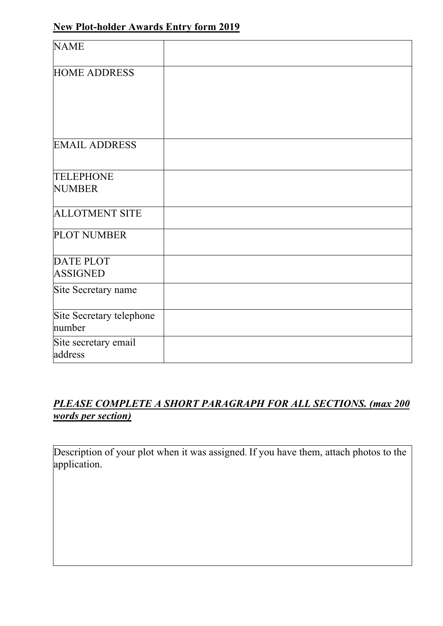# **New Plot-holder Awards Entry form 2019**

| <b>NAME</b>              |  |
|--------------------------|--|
|                          |  |
| <b>HOME ADDRESS</b>      |  |
|                          |  |
|                          |  |
|                          |  |
|                          |  |
| <b>EMAIL ADDRESS</b>     |  |
|                          |  |
| <b>TELEPHONE</b>         |  |
| <b>NUMBER</b>            |  |
|                          |  |
| <b>ALLOTMENT SITE</b>    |  |
| <b>PLOT NUMBER</b>       |  |
|                          |  |
| <b>DATE PLOT</b>         |  |
| <b>ASSIGNED</b>          |  |
| Site Secretary name      |  |
|                          |  |
| Site Secretary telephone |  |
| number                   |  |
| Site secretary email     |  |
| address                  |  |

## *PLEASE COMPLETE A SHORT PARAGRAPH FOR ALL SECTIONS. (max 200 words per section)*

Description of your plot when it was assigned. If you have them, attach photos to the application.